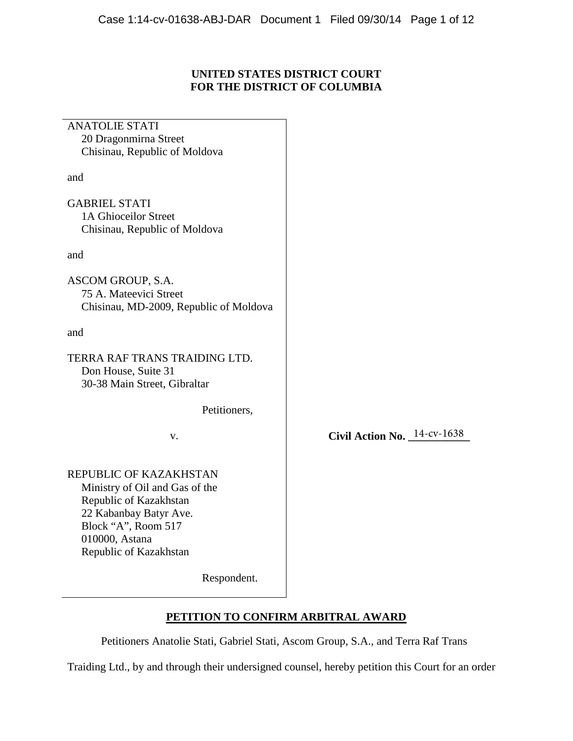# **UNITED STATES DISTRICT COURT FOR THE DISTRICT OF COLUMBIA**

| <b>ANATOLIE STATI</b>                  |                                |
|----------------------------------------|--------------------------------|
| 20 Dragonmirna Street                  |                                |
| Chisinau, Republic of Moldova          |                                |
|                                        |                                |
| and                                    |                                |
|                                        |                                |
| <b>GABRIEL STATI</b>                   |                                |
| 1A Ghioceilor Street                   |                                |
| Chisinau, Republic of Moldova          |                                |
|                                        |                                |
| and                                    |                                |
|                                        |                                |
| ASCOM GROUP, S.A.                      |                                |
| 75 A. Mateevici Street                 |                                |
| Chisinau, MD-2009, Republic of Moldova |                                |
|                                        |                                |
| and                                    |                                |
|                                        |                                |
| TERRA RAF TRANS TRAIDING LTD.          |                                |
| Don House, Suite 31                    |                                |
| 30-38 Main Street, Gibraltar           |                                |
|                                        |                                |
| Petitioners,                           |                                |
|                                        |                                |
| v.                                     | Civil Action No. $14$ -cv-1638 |
|                                        |                                |
|                                        |                                |
|                                        |                                |
| REPUBLIC OF KAZAKHSTAN                 |                                |
| Ministry of Oil and Gas of the         |                                |
| Republic of Kazakhstan                 |                                |
| 22 Kabanbay Batyr Ave.                 |                                |
| Block "A", Room 517                    |                                |
| 010000, Astana                         |                                |
| Republic of Kazakhstan                 |                                |
|                                        |                                |
| Respondent.                            |                                |
|                                        |                                |

# **PETITION TO CONFIRM ARBITRAL AWARD**

Petitioners Anatolie Stati, Gabriel Stati, Ascom Group, S.A., and Terra Raf Trans

Traiding Ltd., by and through their undersigned counsel, hereby petition this Court for an order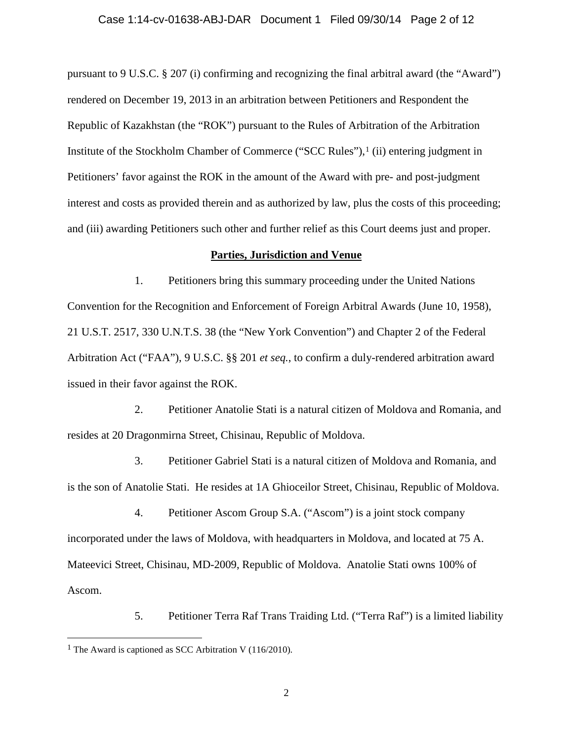# Case 1:14-cv-01638-ABJ-DAR Document 1 Filed 09/30/14 Page 2 of 12

pursuant to 9 U.S.C. § 207 (i) confirming and recognizing the final arbitral award (the "Award") rendered on December 19, 2013 in an arbitration between Petitioners and Respondent the Republic of Kazakhstan (the "ROK") pursuant to the Rules of Arbitration of the Arbitration Institute of the Stockholm Chamber of Commerce ("SCC Rules"),1 (ii) entering judgment in Petitioners' favor against the ROK in the amount of the Award with pre- and post-judgment interest and costs as provided therein and as authorized by law, plus the costs of this proceeding; and (iii) awarding Petitioners such other and further relief as this Court deems just and proper.

### **Parties, Jurisdiction and Venue**

1. Petitioners bring this summary proceeding under the United Nations Convention for the Recognition and Enforcement of Foreign Arbitral Awards (June 10, 1958), 21 U.S.T. 2517, 330 U.N.T.S. 38 (the "New York Convention") and Chapter 2 of the Federal Arbitration Act ("FAA"), 9 U.S.C. §§ 201 *et seq.*, to confirm a duly-rendered arbitration award issued in their favor against the ROK.

2. Petitioner Anatolie Stati is a natural citizen of Moldova and Romania, and resides at 20 Dragonmirna Street, Chisinau, Republic of Moldova.

3. Petitioner Gabriel Stati is a natural citizen of Moldova and Romania, and is the son of Anatolie Stati. He resides at 1A Ghioceilor Street, Chisinau, Republic of Moldova.

4. Petitioner Ascom Group S.A. ("Ascom") is a joint stock company incorporated under the laws of Moldova, with headquarters in Moldova, and located at 75 A. Mateevici Street, Chisinau, MD-2009, Republic of Moldova. Anatolie Stati owns 100% of Ascom.

5. Petitioner Terra Raf Trans Traiding Ltd. ("Terra Raf") is a limited liability

 $\overline{a}$ 

<sup>&</sup>lt;sup>1</sup> The Award is captioned as SCC Arbitration V (116/2010).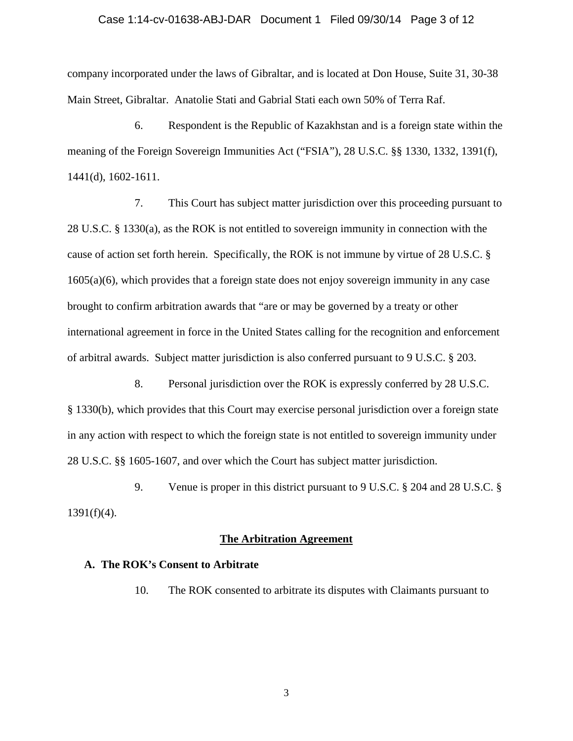# Case 1:14-cv-01638-ABJ-DAR Document 1 Filed 09/30/14 Page 3 of 12

company incorporated under the laws of Gibraltar, and is located at Don House, Suite 31, 30-38 Main Street, Gibraltar. Anatolie Stati and Gabrial Stati each own 50% of Terra Raf.

6. Respondent is the Republic of Kazakhstan and is a foreign state within the meaning of the Foreign Sovereign Immunities Act ("FSIA"), 28 U.S.C. §§ 1330, 1332, 1391(f), 1441(d), 1602-1611.

7. This Court has subject matter jurisdiction over this proceeding pursuant to 28 U.S.C. § 1330(a), as the ROK is not entitled to sovereign immunity in connection with the cause of action set forth herein. Specifically, the ROK is not immune by virtue of 28 U.S.C. § 1605(a)(6), which provides that a foreign state does not enjoy sovereign immunity in any case brought to confirm arbitration awards that "are or may be governed by a treaty or other international agreement in force in the United States calling for the recognition and enforcement of arbitral awards. Subject matter jurisdiction is also conferred pursuant to 9 U.S.C. § 203.

8. Personal jurisdiction over the ROK is expressly conferred by 28 U.S.C. § 1330(b), which provides that this Court may exercise personal jurisdiction over a foreign state in any action with respect to which the foreign state is not entitled to sovereign immunity under 28 U.S.C. §§ 1605-1607, and over which the Court has subject matter jurisdiction.

9. Venue is proper in this district pursuant to 9 U.S.C. § 204 and 28 U.S.C. §  $1391(f)(4)$ .

### **The Arbitration Agreement**

### **A. The ROK's Consent to Arbitrate**

10. The ROK consented to arbitrate its disputes with Claimants pursuant to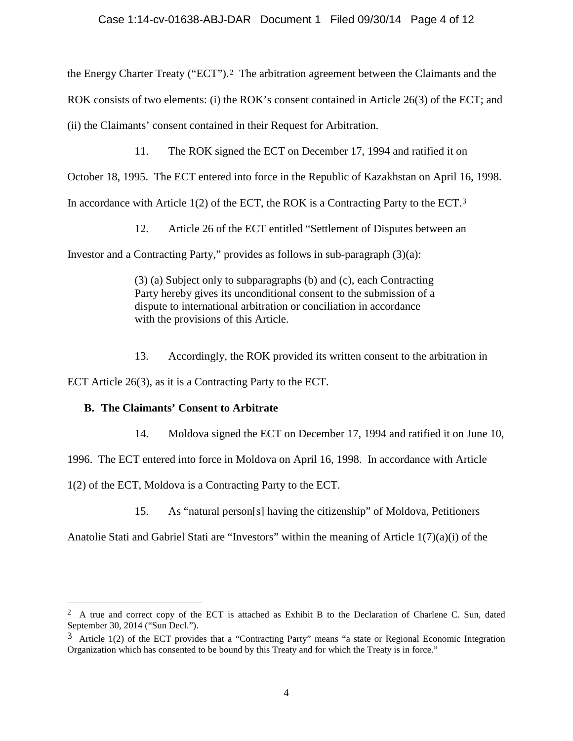the Energy Charter Treaty ("ECT").2 The arbitration agreement between the Claimants and the

ROK consists of two elements: (i) the ROK's consent contained in Article 26(3) of the ECT; and

(ii) the Claimants' consent contained in their Request for Arbitration.

11. The ROK signed the ECT on December 17, 1994 and ratified it on

October 18, 1995. The ECT entered into force in the Republic of Kazakhstan on April 16, 1998.

In accordance with Article  $1(2)$  of the ECT, the ROK is a Contracting Party to the ECT.<sup>3</sup>

12. Article 26 of the ECT entitled "Settlement of Disputes between an

Investor and a Contracting Party," provides as follows in sub-paragraph (3)(a):

(3) (a) Subject only to subparagraphs (b) and (c), each Contracting Party hereby gives its unconditional consent to the submission of a dispute to international arbitration or conciliation in accordance with the provisions of this Article.

13. Accordingly, the ROK provided its written consent to the arbitration in

ECT Article 26(3), as it is a Contracting Party to the ECT.

# **B. The Claimants' Consent to Arbitrate**

 $\overline{a}$ 

14. Moldova signed the ECT on December 17, 1994 and ratified it on June 10,

1996. The ECT entered into force in Moldova on April 16, 1998. In accordance with Article

1(2) of the ECT, Moldova is a Contracting Party to the ECT.

15. As "natural person[s] having the citizenship" of Moldova, Petitioners

Anatolie Stati and Gabriel Stati are "Investors" within the meaning of Article 1(7)(a)(i) of the

<sup>&</sup>lt;sup>2</sup> A true and correct copy of the ECT is attached as Exhibit B to the Declaration of Charlene C. Sun, dated September 30, 2014 ("Sun Decl.").

<sup>3</sup> Article 1(2) of the ECT provides that a "Contracting Party" means "a state or Regional Economic Integration Organization which has consented to be bound by this Treaty and for which the Treaty is in force."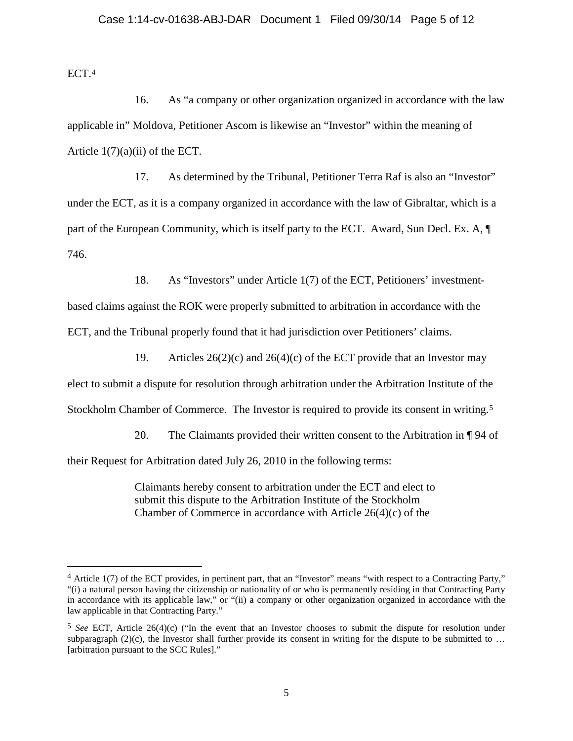ECT.4

 $\overline{a}$ 

16. As "a company or other organization organized in accordance with the law applicable in" Moldova, Petitioner Ascom is likewise an "Investor" within the meaning of Article  $1(7)(a)(ii)$  of the ECT.

17. As determined by the Tribunal, Petitioner Terra Raf is also an "Investor" under the ECT, as it is a company organized in accordance with the law of Gibraltar, which is a part of the European Community, which is itself party to the ECT. Award, Sun Decl. Ex. A, ¶ 746.

18. As "Investors" under Article 1(7) of the ECT, Petitioners' investment-

based claims against the ROK were properly submitted to arbitration in accordance with the ECT, and the Tribunal properly found that it had jurisdiction over Petitioners' claims.

19. Articles  $26(2)(c)$  and  $26(4)(c)$  of the ECT provide that an Investor may

elect to submit a dispute for resolution through arbitration under the Arbitration Institute of the

Stockholm Chamber of Commerce. The Investor is required to provide its consent in writing.<sup>5</sup>

20. The Claimants provided their written consent to the Arbitration in ¶ 94 of

their Request for Arbitration dated July 26, 2010 in the following terms:

Claimants hereby consent to arbitration under the ECT and elect to submit this dispute to the Arbitration Institute of the Stockholm Chamber of Commerce in accordance with Article 26(4)(c) of the

<sup>4</sup> Article 1(7) of the ECT provides, in pertinent part, that an "Investor" means "with respect to a Contracting Party," "(i) a natural person having the citizenship or nationality of or who is permanently residing in that Contracting Party in accordance with its applicable law," or "(ii) a company or other organization organized in accordance with the law applicable in that Contracting Party."

<sup>5</sup> *See* ECT, Article 26(4)(c) ("In the event that an Investor chooses to submit the dispute for resolution under subparagraph  $(2)(c)$ , the Investor shall further provide its consent in writing for the dispute to be submitted to ... [arbitration pursuant to the SCC Rules]."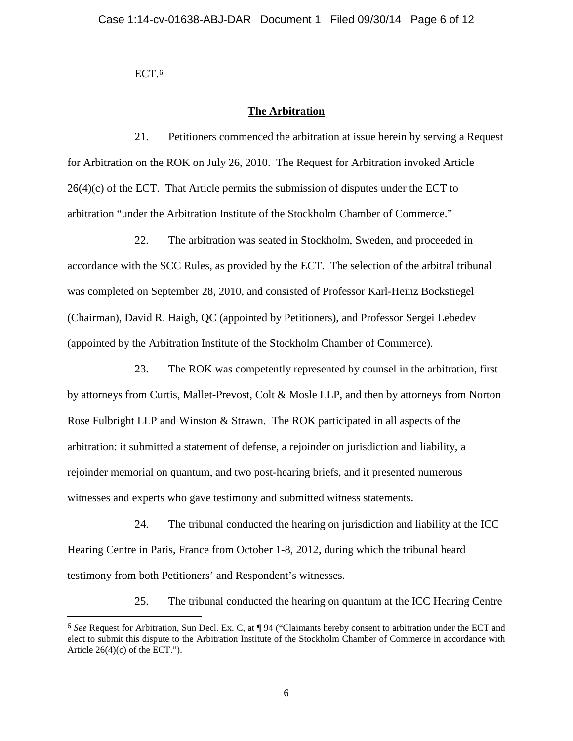ECT.<sup>6</sup>

 $\overline{a}$ 

# **The Arbitration**

21. Petitioners commenced the arbitration at issue herein by serving a Request for Arbitration on the ROK on July 26, 2010. The Request for Arbitration invoked Article  $26(4)(c)$  of the ECT. That Article permits the submission of disputes under the ECT to arbitration "under the Arbitration Institute of the Stockholm Chamber of Commerce."

22. The arbitration was seated in Stockholm, Sweden, and proceeded in accordance with the SCC Rules, as provided by the ECT. The selection of the arbitral tribunal was completed on September 28, 2010, and consisted of Professor Karl-Heinz Bockstiegel (Chairman), David R. Haigh, QC (appointed by Petitioners), and Professor Sergei Lebedev (appointed by the Arbitration Institute of the Stockholm Chamber of Commerce).

23. The ROK was competently represented by counsel in the arbitration, first by attorneys from Curtis, Mallet-Prevost, Colt & Mosle LLP, and then by attorneys from Norton Rose Fulbright LLP and Winston & Strawn. The ROK participated in all aspects of the arbitration: it submitted a statement of defense, a rejoinder on jurisdiction and liability, a rejoinder memorial on quantum, and two post-hearing briefs, and it presented numerous witnesses and experts who gave testimony and submitted witness statements.

24. The tribunal conducted the hearing on jurisdiction and liability at the ICC Hearing Centre in Paris, France from October 1-8, 2012, during which the tribunal heard testimony from both Petitioners' and Respondent's witnesses.

25. The tribunal conducted the hearing on quantum at the ICC Hearing Centre

<sup>6</sup> *See* Request for Arbitration, Sun Decl. Ex. C, at ¶ 94 ("Claimants hereby consent to arbitration under the ECT and elect to submit this dispute to the Arbitration Institute of the Stockholm Chamber of Commerce in accordance with Article  $26(4)(c)$  of the ECT.").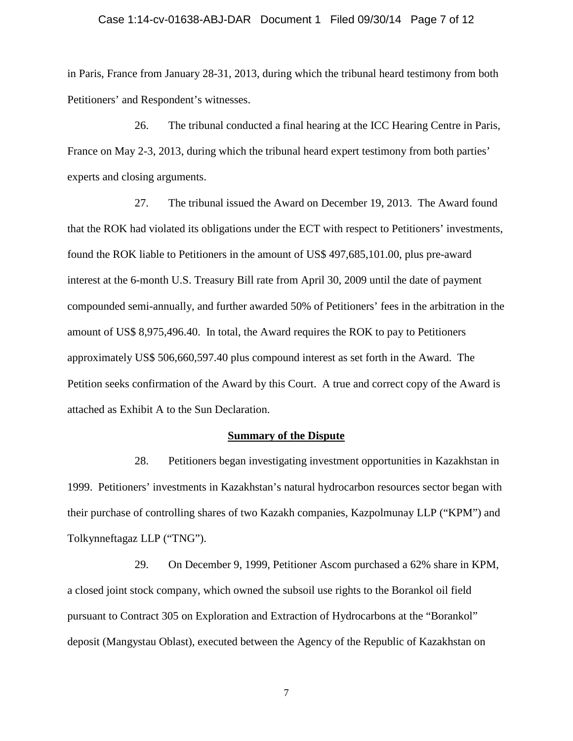#### Case 1:14-cv-01638-ABJ-DAR Document 1 Filed 09/30/14 Page 7 of 12

in Paris, France from January 28-31, 2013, during which the tribunal heard testimony from both Petitioners' and Respondent's witnesses.

26. The tribunal conducted a final hearing at the ICC Hearing Centre in Paris, France on May 2-3, 2013, during which the tribunal heard expert testimony from both parties' experts and closing arguments.

27. The tribunal issued the Award on December 19, 2013. The Award found that the ROK had violated its obligations under the ECT with respect to Petitioners' investments, found the ROK liable to Petitioners in the amount of US\$ 497,685,101.00, plus pre-award interest at the 6-month U.S. Treasury Bill rate from April 30, 2009 until the date of payment compounded semi-annually, and further awarded 50% of Petitioners' fees in the arbitration in the amount of US\$ 8,975,496.40. In total, the Award requires the ROK to pay to Petitioners approximately US\$ 506,660,597.40 plus compound interest as set forth in the Award. The Petition seeks confirmation of the Award by this Court. A true and correct copy of the Award is attached as Exhibit A to the Sun Declaration.

#### **Summary of the Dispute**

28. Petitioners began investigating investment opportunities in Kazakhstan in 1999. Petitioners' investments in Kazakhstan's natural hydrocarbon resources sector began with their purchase of controlling shares of two Kazakh companies, Kazpolmunay LLP ("KPM") and Tolkynneftagaz LLP ("TNG").

29. On December 9, 1999, Petitioner Ascom purchased a 62% share in KPM, a closed joint stock company, which owned the subsoil use rights to the Borankol oil field pursuant to Contract 305 on Exploration and Extraction of Hydrocarbons at the "Borankol" deposit (Mangystau Oblast), executed between the Agency of the Republic of Kazakhstan on

7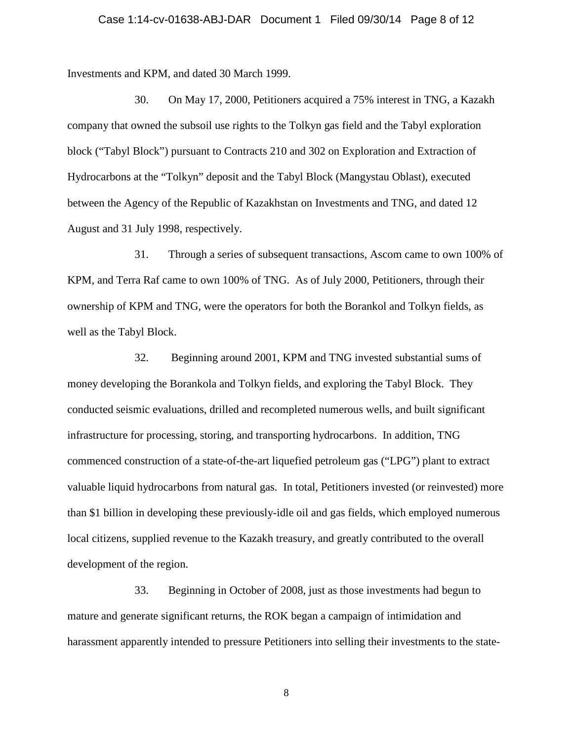#### Case 1:14-cv-01638-ABJ-DAR Document 1 Filed 09/30/14 Page 8 of 12

Investments and KPM, and dated 30 March 1999.

30. On May 17, 2000, Petitioners acquired a 75% interest in TNG, a Kazakh company that owned the subsoil use rights to the Tolkyn gas field and the Tabyl exploration block ("Tabyl Block") pursuant to Contracts 210 and 302 on Exploration and Extraction of Hydrocarbons at the "Tolkyn" deposit and the Tabyl Block (Mangystau Oblast), executed between the Agency of the Republic of Kazakhstan on Investments and TNG, and dated 12 August and 31 July 1998, respectively.

31. Through a series of subsequent transactions, Ascom came to own 100% of KPM, and Terra Raf came to own 100% of TNG. As of July 2000, Petitioners, through their ownership of KPM and TNG, were the operators for both the Borankol and Tolkyn fields, as well as the Tabyl Block.

32. Beginning around 2001, KPM and TNG invested substantial sums of money developing the Borankola and Tolkyn fields, and exploring the Tabyl Block. They conducted seismic evaluations, drilled and recompleted numerous wells, and built significant infrastructure for processing, storing, and transporting hydrocarbons. In addition, TNG commenced construction of a state-of-the-art liquefied petroleum gas ("LPG") plant to extract valuable liquid hydrocarbons from natural gas. In total, Petitioners invested (or reinvested) more than \$1 billion in developing these previously-idle oil and gas fields, which employed numerous local citizens, supplied revenue to the Kazakh treasury, and greatly contributed to the overall development of the region.

33. Beginning in October of 2008, just as those investments had begun to mature and generate significant returns, the ROK began a campaign of intimidation and harassment apparently intended to pressure Petitioners into selling their investments to the state-

8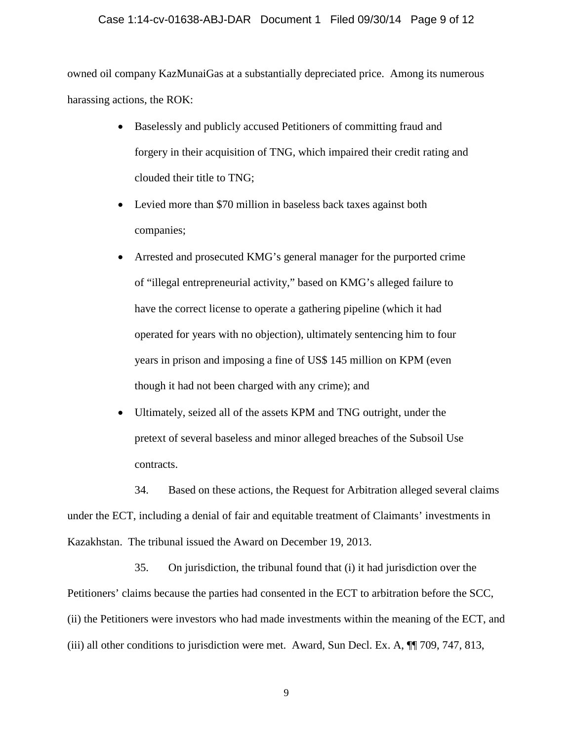# Case 1:14-cv-01638-ABJ-DAR Document 1 Filed 09/30/14 Page 9 of 12

owned oil company KazMunaiGas at a substantially depreciated price. Among its numerous harassing actions, the ROK:

- Baselessly and publicly accused Petitioners of committing fraud and forgery in their acquisition of TNG, which impaired their credit rating and clouded their title to TNG;
- Levied more than \$70 million in baseless back taxes against both companies;
- Arrested and prosecuted KMG's general manager for the purported crime of "illegal entrepreneurial activity," based on KMG's alleged failure to have the correct license to operate a gathering pipeline (which it had operated for years with no objection), ultimately sentencing him to four years in prison and imposing a fine of US\$ 145 million on KPM (even though it had not been charged with any crime); and
- Ultimately, seized all of the assets KPM and TNG outright, under the pretext of several baseless and minor alleged breaches of the Subsoil Use contracts.

34. Based on these actions, the Request for Arbitration alleged several claims under the ECT, including a denial of fair and equitable treatment of Claimants' investments in Kazakhstan. The tribunal issued the Award on December 19, 2013.

35. On jurisdiction, the tribunal found that (i) it had jurisdiction over the Petitioners' claims because the parties had consented in the ECT to arbitration before the SCC, (ii) the Petitioners were investors who had made investments within the meaning of the ECT, and (iii) all other conditions to jurisdiction were met. Award, Sun Decl. Ex. A, ¶¶ 709, 747, 813,

9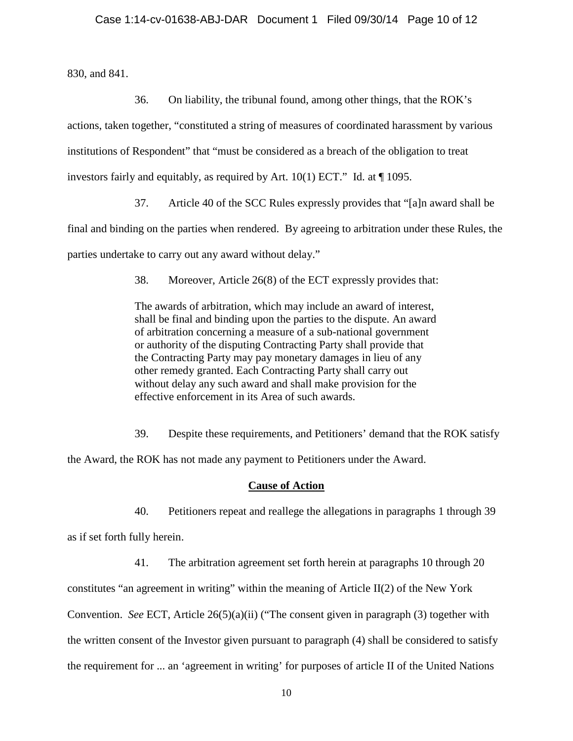830, and 841.

36. On liability, the tribunal found, among other things, that the ROK's actions, taken together, "constituted a string of measures of coordinated harassment by various institutions of Respondent" that "must be considered as a breach of the obligation to treat investors fairly and equitably, as required by Art. 10(1) ECT." Id. at ¶ 1095.

37. Article 40 of the SCC Rules expressly provides that "[a]n award shall be

final and binding on the parties when rendered. By agreeing to arbitration under these Rules, the

parties undertake to carry out any award without delay."

38. Moreover, Article 26(8) of the ECT expressly provides that:

The awards of arbitration, which may include an award of interest, shall be final and binding upon the parties to the dispute. An award of arbitration concerning a measure of a sub-national government or authority of the disputing Contracting Party shall provide that the Contracting Party may pay monetary damages in lieu of any other remedy granted. Each Contracting Party shall carry out without delay any such award and shall make provision for the effective enforcement in its Area of such awards.

39. Despite these requirements, and Petitioners' demand that the ROK satisfy

the Award, the ROK has not made any payment to Petitioners under the Award.

### **Cause of Action**

40. Petitioners repeat and reallege the allegations in paragraphs 1 through 39

as if set forth fully herein.

41. The arbitration agreement set forth herein at paragraphs 10 through 20

constitutes "an agreement in writing" within the meaning of Article II(2) of the New York

Convention. *See* ECT, Article 26(5)(a)(ii) ("The consent given in paragraph (3) together with

the written consent of the Investor given pursuant to paragraph (4) shall be considered to satisfy

the requirement for ... an 'agreement in writing' for purposes of article II of the United Nations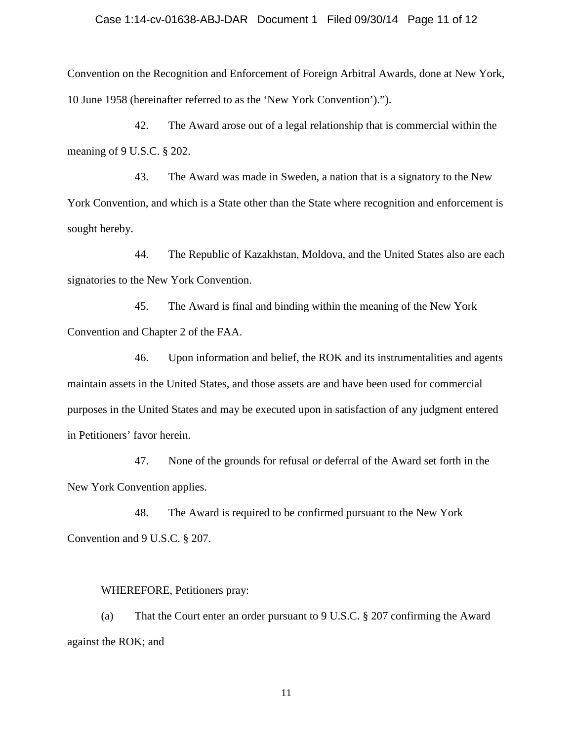### Case 1:14-cv-01638-ABJ-DAR Document 1 Filed 09/30/14 Page 11 of 12

Convention on the Recognition and Enforcement of Foreign Arbitral Awards, done at New York, 10 June 1958 (hereinafter referred to as the 'New York Convention').").

42. The Award arose out of a legal relationship that is commercial within the meaning of 9 U.S.C. § 202.

43. The Award was made in Sweden, a nation that is a signatory to the New York Convention, and which is a State other than the State where recognition and enforcement is sought hereby.

44. The Republic of Kazakhstan, Moldova, and the United States also are each signatories to the New York Convention.

45. The Award is final and binding within the meaning of the New York Convention and Chapter 2 of the FAA.

46. Upon information and belief, the ROK and its instrumentalities and agents maintain assets in the United States, and those assets are and have been used for commercial purposes in the United States and may be executed upon in satisfaction of any judgment entered in Petitioners' favor herein.

47. None of the grounds for refusal or deferral of the Award set forth in the New York Convention applies.

48. The Award is required to be confirmed pursuant to the New York Convention and 9 U.S.C. § 207.

#### WHEREFORE, Petitioners pray:

(a) That the Court enter an order pursuant to 9 U.S.C. § 207 confirming the Award against the ROK; and